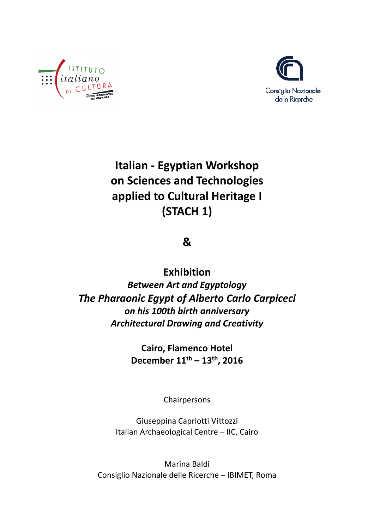



**Italian - Egyptian Workshop on Sciences and Technologies applied to Cultural Heritage I (STACH 1)** 

**&** 

**Exhibition**  *Between Art and Egyptology The Pharaonic Egypt of Alberto Carlo Carpiceci on his 100th birth anniversary Architectural Drawing and Creativity* 

> **Cairo, Flamenco Hotel December 11th – 13th, 2016**

> > Chairpersons

Giuseppina Capriotti Vittozzi Italian Archaeological Centre – IIC, Cairo

Marina Baldi Consiglio Nazionale delle Ricerche – IBIMET, Roma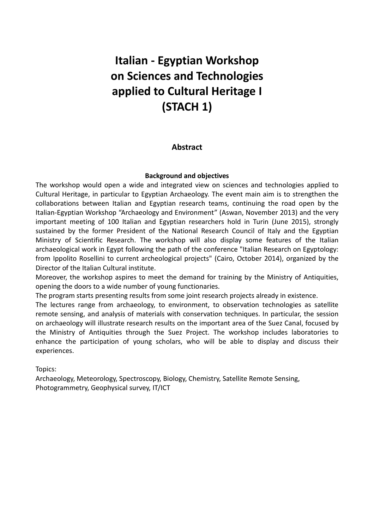# **Italian - Egyptian Workshop on Sciences and Technologies applied to Cultural Heritage I (STACH 1)**

# **Abstract**

#### **Background and objectives**

The workshop would open a wide and integrated view on sciences and technologies applied to Cultural Heritage, in particular to Egyptian Archaeology. The event main aim is to strengthen the collaborations between Italian and Egyptian research teams, continuing the road open by the Italian-Egyptian Workshop "Archaeology and Environment" (Aswan, November 2013) and the very important meeting of 100 Italian and Egyptian researchers hold in Turin (June 2015), strongly sustained by the former President of the National Research Council of Italy and the Egyptian Ministry of Scientific Research. The workshop will also display some features of the Italian archaeological work in Egypt following the path of the conference "Italian Research on Egyptology: from Ippolito Rosellini to current archeological projects" (Cairo, October 2014), organized by the Director of the Italian Cultural institute.

Moreover, the workshop aspires to meet the demand for training by the Ministry of Antiquities, opening the doors to a wide number of young functionaries.

The program starts presenting results from some joint research projects already in existence.

The lectures range from archaeology, to environment, to observation technologies as satellite remote sensing, and analysis of materials with conservation techniques. In particular, the session on archaeology will illustrate research results on the important area of the Suez Canal, focused by the Ministry of Antiquities through the Suez Project. The workshop includes laboratories to enhance the participation of young scholars, who will be able to display and discuss their experiences.

Topics:

Archaeology, Meteorology, Spectroscopy, Biology, Chemistry, Satellite Remote Sensing, Photogrammetry, Geophysical survey, IT/ICT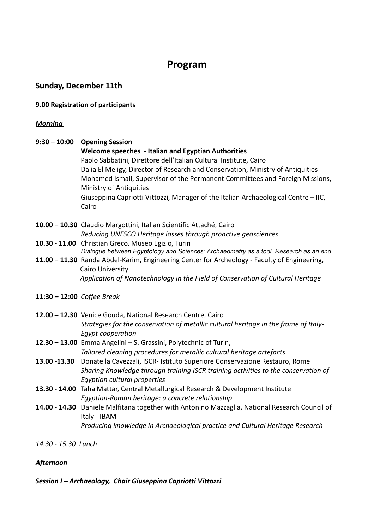# **Program**

# **Sunday, December 11th**

#### **9.00 Registration of participants**

#### *Morning*

**9:30 – 10:00 Opening Session Welcome speeches - Italian and Egyptian Authorities**  Paolo Sabbatini, Direttore dell'Italian Cultural Institute, Cairo Dalia El Meligy, Director of Research and Conservation, Ministry of Antiquities Mohamed Ismail, Supervisor of the Permanent Committees and Foreign Missions, Ministry of Antiquities Giuseppina Capriotti Vittozzi, Manager of the Italian Archaeological Centre – IIC, Cairo **10.00 – 10.30** Claudio Margottini, Italian Scientific Attaché, Cairo *Reducing UNESCO Heritage losses through proactive geosciences*  **10.30 - 11.00** Christian Greco, Museo Egizio, Turin *Dialogue between Egyptology and Sciences: Archaeometry as a tool, Research as an end* **11.00 – 11.30** Randa Abdel-Karim**,** Engineering Center for Archeology - Faculty of Engineering, Cairo University *Application of Nanotechnology in the Field of Conservation of Cultural Heritage*  **11:30 – 12:00** *Coffee Break* **12.00 – 12.30** Venice Gouda, National Research Centre, Cairo *Strategies for the conservation of metallic cultural heritage in the frame of Italy-Egypt cooperation* **12.30 – 13.00** Emma Angelini – S. Grassini, Polytechnic of Turin, *Tailored cleaning procedures for metallic cultural heritage artefacts* **13.00 -13.30** Donatella Cavezzali, ISCR- Istituto Superiore Conservazione Restauro, Rome *Sharing Knowledge through training ISCR training activities to the conservation of Egyptian cultural properties*  **13.30 - 14.00** Taha Mattar, Central Metallurgical Research & Development Institute *Egyptian-Roman heritage: a concrete relationship* **14.00 - 14.30** Daniele Malfitana together with Antonino Mazzaglia, National Research Council of Italy - IBAM *Producing knowledge in Archaeological practice and Cultural Heritage Research* 

*14.30 - 15.30 Lunch*

#### *Afternoon*

*Session I* **–** *Archaeology, Chair Giuseppina Capriotti Vittozzi*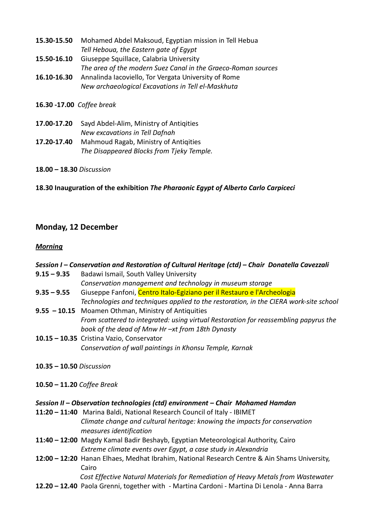| 15.30-15.50               | Mohamed Abdel Maksoud, Egyptian mission in Tell Hebua         |
|---------------------------|---------------------------------------------------------------|
|                           | Tell Heboua, the Eastern gate of Egypt                        |
| 15.50-16.10               | Giuseppe Squillace, Calabria University                       |
|                           | The area of the modern Suez Canal in the Graeco-Roman sources |
| 16.10-16.30               | Annalinda Iacoviello, Tor Vergata University of Rome          |
|                           | New archaeological Excavations in Tell el-Maskhuta            |
| 16.30 -17.00 Coffee break |                                                               |

**17.00-17.20** Sayd Abdel-Alim, Ministry of Antiqities *New excavations in Tell Dafnah* **17.20-17.40** Mahmoud Ragab, Ministry of Antiqities *The Disappeared Blocks from Tjeky Temple.* 

**18.00 – 18.30** *Discussion*

**18.30 Inauguration of the exhibition** *The Pharaonic Egypt of Alberto Carlo Carpiceci*

# **Monday, 12 December**

#### *Morning*

| Session I – Conservation and Restoration of Cultural Heritage (ctd) – Chair Donatella Cavezzali |                                                                                                       |
|-------------------------------------------------------------------------------------------------|-------------------------------------------------------------------------------------------------------|
| $9.15 - 9.35$                                                                                   | Badawi Ismail, South Valley University                                                                |
|                                                                                                 | Conservation management and technology in museum storage                                              |
| $9.35 - 9.55$                                                                                   | Giuseppe Fanfoni, Centro Italo-Egiziano per il Restauro e l'Archeologia                               |
|                                                                                                 | Technologies and techniques applied to the restoration, in the CIERA work-site school                 |
|                                                                                                 | 9.55 - 10.15 Moamen Othman, Ministry of Antiquities                                                   |
|                                                                                                 | From scattered to integrated: using virtual Restoration for reassembling papyrus the                  |
|                                                                                                 | book of the dead of Mnw Hr -xt from 18th Dynasty                                                      |
|                                                                                                 | 10.15 - 10.35 Cristina Vazio, Conservator                                                             |
|                                                                                                 | Conservation of wall paintings in Khonsu Temple, Karnak                                               |
| $10.35 - 10.50$ Discussion                                                                      |                                                                                                       |
| $10.50 - 11.20$ Coffee Break                                                                    |                                                                                                       |
| Session II – Observation technologies (ctd) environment – Chair Mohamed Hamdan                  |                                                                                                       |
|                                                                                                 | 11:20 - 11:40 Marina Baldi, National Research Council of Italy - IBIMET                               |
|                                                                                                 | Climate change and cultural heritage: knowing the impacts for conservation<br>measures identification |
|                                                                                                 | 11:40 - 12:00 Magdy Kamal Badir Beshayb, Egyptian Meteorological Authority, Cairo                     |
|                                                                                                 | Extreme climate events over Egypt, a case study in Alexandria                                         |

**12:00 – 12:20** Hanan Elhaes, Medhat Ibrahim, National Research Centre & Ain Shams University, Cairo

*Cost Effective Natural Materials for Remediation of Heavy Metals from Wastewater* 

**12.20 – 12.40** Paola Grenni, together with - Martina Cardoni - Martina Di Lenola - Anna Barra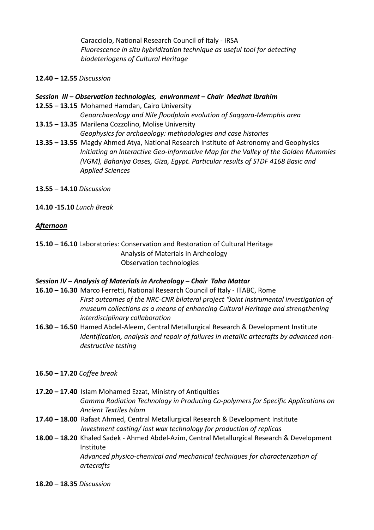Caracciolo, National Research Council of Italy - IRSA *Fluorescence in situ hybridization technique as useful tool for detecting biodeteriogens of Cultural Heritage*

- **12.40 12.55** *Discussion*
- *Session III* **–** *Observation technologies, environment Chair Medhat Ibrahim*
- **12.55 13.15** Mohamed Hamdan, Cairo University *Geoarchaeology and Nile floodplain evolution of Saqqara-Memphis area*
- **13.15 13.35** Marilena Cozzolino, Molise University *Geophysics for archaeology: methodologies and case histories*
- **13.35 13.55** Magdy Ahmed Atya, National Research Institute of Astronomy and Geophysics *Initiating an Interactive Geo-informative Map for the Valley of the Golden Mummies (VGM), Bahariya Oases, Giza, Egypt. Particular results of STDF 4168 Basic and Applied Sciences*
- **13.55 14.10** *Discussion*
- **14.10 -15.10** *Lunch Break*

#### *Afternoon*

**15.10 – 16.10** Laboratories: Conservation and Restoration of Cultural Heritage Analysis of Materials in Archeology Observation technologies

#### *Session IV* **–** *Analysis of Materials in Archeology – Chair Taha Mattar*

- **16.10 16.30** Marco Ferretti, National Research Council of Italy ITABC, Rome *First outcomes of the NRC-CNR bilateral project "Joint instrumental investigation of museum collections as a means of enhancing Cultural Heritage and strengthening interdisciplinary collaboration*
- **16.30 16.50** Hamed Abdel-Aleem, Central Metallurgical Research & Development Institute *Identification, analysis and repair of failures in metallic artecrafts by advanced nondestructive testing*
- **16.50 17.20** *Coffee break*
- **17.20 17.40** Islam Mohamed Ezzat, Ministry of Antiquities *Gamma Radiation Technology in Producing Co-polymers for Specific Applications on Ancient Textiles Islam*
- **17.40 18.00** Rafaat Ahmed, Central Metallurgical Research & Development Institute *Investment casting/ lost wax technology for production of replicas*
- **18.00 18.20** Khaled Sadek Ahmed Abdel-Azim, Central Metallurgical Research & Development Institute

*Advanced physico-chemical and mechanical techniques for characterization of artecrafts* 

**18.20 – 18.35** *Discussion*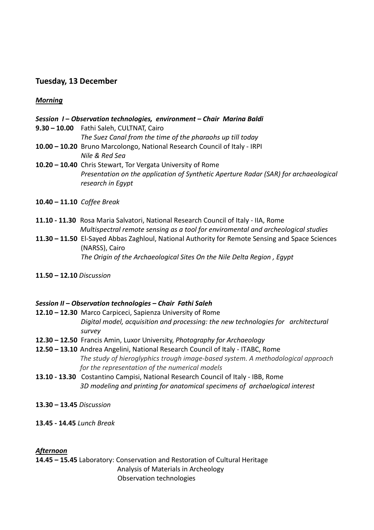# **Tuesday, 13 December**

*Morning* 

#### *Session I* **–** *Observation technologies, environment – Chair Marina Baldi*

**9.30 – 10.00** Fathi Saleh, CULTNAT, Cairo

*The Suez Canal from the time of the pharaohs up till today*

- **10.00 10.20** Bruno Marcolongo, National Research Council of Italy IRPI *Nile & Red Sea*
- **10.20 10.40** Chris Stewart, Tor Vergata University of Rome *Presentation on the application of Synthetic Aperture Radar (SAR) for archaeological research in Egypt*
- **10.40 11.10** *Coffee Break*
- **11.10 11.30** Rosa Maria Salvatori, National Research Council of Italy IIA, Rome *Multispectral remote sensing as a tool for enviromental and archeological studies*
- **11.30 11.50** El-Sayed Abbas Zaghloul, National Authority for Remote Sensing and Space Sciences (NARSS), Cairo *The Origin of the Archaeological Sites On the Nile Delta Region , Egypt*
- **11.50 12.10** *Discussion*

#### *Session II* **–** *Observation technologies – Chair Fathi Saleh*

- **12.10 12.30** Marco Carpiceci, Sapienza University of Rome *Digital model, acquisition and processing: the new technologies for architectural survey*
- **12.30 12.50** Francis Amin, Luxor University, *Photography for Archaeology*
- **12.50 13.10** Andrea Angelini, National Research Council of Italy ITABC, Rome *The study of hieroglyphics trough image-based system. A methodological approach for the representation of the numerical models*
- **13.10 13.30** Costantino Campisi, National Research Council of Italy IBB, Rome *3D modeling and printing for anatomical specimens of archaelogical interest*
- **13.30 13.45** *Discussion*
- **13.45 14.45** *Lunch Break*

#### *Afternoon*

**14.45 – 15.45** Laboratory: Conservation and Restoration of Cultural Heritage Analysis of Materials in Archeology Observation technologies